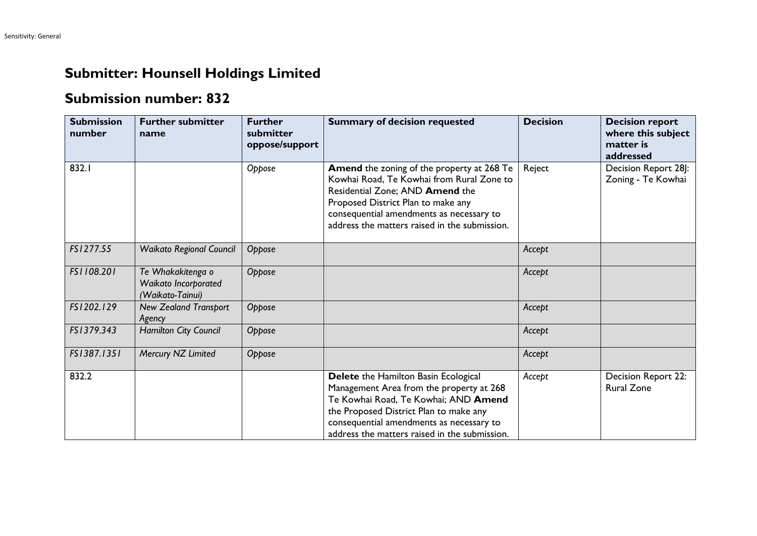## **Submitter: Hounsell Holdings Limited**

## **Submission number: 832**

| <b>Submission</b><br>number | <b>Further submitter</b><br>name                              | <b>Further</b><br>submitter<br>oppose/support | <b>Summary of decision requested</b>                                                                                                                                                                                                                            | <b>Decision</b> | <b>Decision report</b><br>where this subject<br>matter is<br>addressed |
|-----------------------------|---------------------------------------------------------------|-----------------------------------------------|-----------------------------------------------------------------------------------------------------------------------------------------------------------------------------------------------------------------------------------------------------------------|-----------------|------------------------------------------------------------------------|
| 832.I                       |                                                               | Oppose                                        | Amend the zoning of the property at 268 Te<br>Kowhai Road, Te Kowhai from Rural Zone to<br>Residential Zone; AND Amend the<br>Proposed District Plan to make any<br>consequential amendments as necessary to<br>address the matters raised in the submission.   | Reject          | Decision Report 28J:<br>Zoning - Te Kowhai                             |
| FS1277.55                   | <b>Waikato Regional Council</b>                               | Oppose                                        |                                                                                                                                                                                                                                                                 | Accept          |                                                                        |
| FS1108.201                  | Te Whakakitenga o<br>Waikato Incorporated<br>(Waikato-Tainui) | Oppose                                        |                                                                                                                                                                                                                                                                 | Accept          |                                                                        |
| FS1202.129                  | <b>New Zealand Transport</b><br>Agency                        | Oppose                                        |                                                                                                                                                                                                                                                                 | Accept          |                                                                        |
| FS1379.343                  | Hamilton City Council                                         | Oppose                                        |                                                                                                                                                                                                                                                                 | Accept          |                                                                        |
| FS1387.1351                 | Mercury NZ Limited                                            | Oppose                                        |                                                                                                                                                                                                                                                                 | Accept          |                                                                        |
| 832.2                       |                                                               |                                               | Delete the Hamilton Basin Ecological<br>Management Area from the property at 268<br>Te Kowhai Road, Te Kowhai; AND Amend<br>the Proposed District Plan to make any<br>consequential amendments as necessary to<br>address the matters raised in the submission. | Accept          | Decision Report 22:<br><b>Rural Zone</b>                               |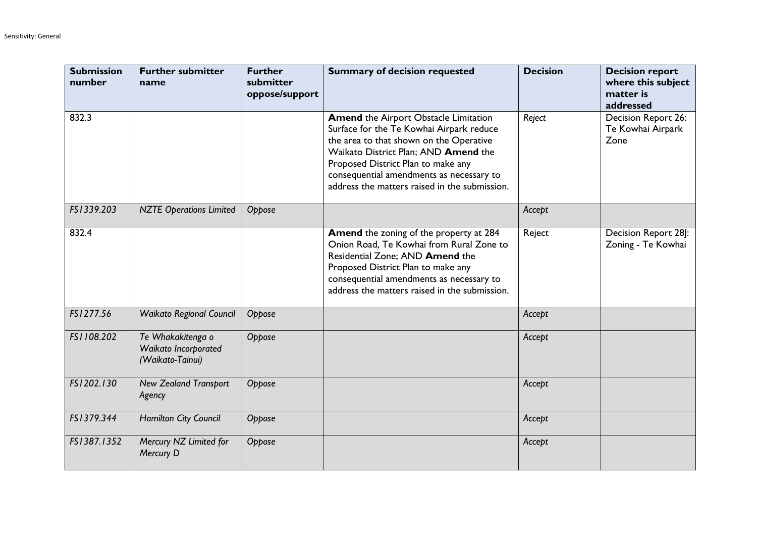| <b>Submission</b><br>number | <b>Further submitter</b><br>name                              | <b>Further</b><br>submitter<br>oppose/support | <b>Summary of decision requested</b>                                                                                                                                                                                                                                                                           | <b>Decision</b> | <b>Decision report</b><br>where this subject<br>matter is<br>addressed |
|-----------------------------|---------------------------------------------------------------|-----------------------------------------------|----------------------------------------------------------------------------------------------------------------------------------------------------------------------------------------------------------------------------------------------------------------------------------------------------------------|-----------------|------------------------------------------------------------------------|
| 832.3                       |                                                               |                                               | <b>Amend the Airport Obstacle Limitation</b><br>Surface for the Te Kowhai Airpark reduce<br>the area to that shown on the Operative<br>Waikato District Plan; AND Amend the<br>Proposed District Plan to make any<br>consequential amendments as necessary to<br>address the matters raised in the submission. | Reject          | Decision Report 26:<br>Te Kowhai Airpark<br>Zone                       |
| FS1339.203                  | <b>NZTE Operations Limited</b>                                | Oppose                                        |                                                                                                                                                                                                                                                                                                                | Accept          |                                                                        |
| 832.4                       |                                                               |                                               | <b>Amend</b> the zoning of the property at 284<br>Onion Road, Te Kowhai from Rural Zone to<br>Residential Zone; AND Amend the<br>Proposed District Plan to make any<br>consequential amendments as necessary to<br>address the matters raised in the submission.                                               | Reject          | Decision Report 28J:<br>Zoning - Te Kowhai                             |
| FS1277.56                   | <b>Waikato Regional Council</b>                               | Oppose                                        |                                                                                                                                                                                                                                                                                                                | Accept          |                                                                        |
| FS1108.202                  | Te Whakakitenga o<br>Waikato Incorporated<br>(Waikato-Tainui) | Oppose                                        |                                                                                                                                                                                                                                                                                                                | Accept          |                                                                        |
| FS1202.130                  | <b>New Zealand Transport</b><br>Agency                        | Oppose                                        |                                                                                                                                                                                                                                                                                                                | Accept          |                                                                        |
| FS1379.344                  | Hamilton City Council                                         | Oppose                                        |                                                                                                                                                                                                                                                                                                                | Accept          |                                                                        |
| FS1387.1352                 | Mercury NZ Limited for<br>Mercury D                           | Oppose                                        |                                                                                                                                                                                                                                                                                                                | Accept          |                                                                        |